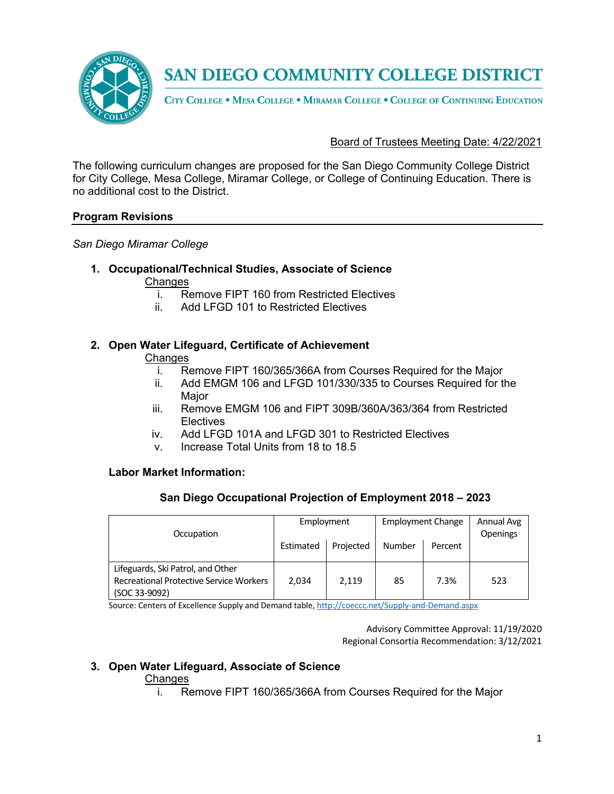

SAN DIEGO COMMUNITY COLLEGE DISTRICT

CITY COLLEGE . MESA COLLEGE . MIRAMAR COLLEGE . COLLEGE OF CONTINUING EDUCATION

## Board of Trustees Meeting Date: 4/22/2021

The following curriculum changes are proposed for the San Diego Community College District for City College, Mesa College, Miramar College, or College of Continuing Education. There is no additional cost to the District.

## **Program Revisions**

*San Diego Miramar College*

- **1. Occupational/Technical Studies, Associate of Science** 
	- Changes
		- i. Remove FIPT 160 from Restricted Electives
		- ii. Add LFGD 101 to Restricted Electives

#### **2. Open Water Lifeguard, Certificate of Achievement Changes**

- i. Remove FIPT 160/365/366A from Courses Required for the Major
- ii. Add EMGM 106 and LFGD 101/330/335 to Courses Required for the Major
- iii. Remove EMGM 106 and FIPT 309B/360A/363/364 from Restricted **Electives**
- iv. Add LFGD 101A and LFGD 301 to Restricted Electives
- v. Increase Total Units from 18 to 18.5

## **Labor Market Information:**

## **San Diego Occupational Projection of Employment 2018 – 2023**

| Occupation                                                                          | Employment |           | <b>Employment Change</b> |         | Annual Avg<br>Openings |
|-------------------------------------------------------------------------------------|------------|-----------|--------------------------|---------|------------------------|
|                                                                                     | Estimated  | Projected | Number                   | Percent |                        |
| Lifeguards, Ski Patrol, and Other<br><b>Recreational Protective Service Workers</b> | 2,034      | 2,119     | 85                       | 7.3%    | 523                    |
| (SOC 33-9092)                                                                       |            |           |                          |         |                        |

Source: Centers of Excellence Supply and Demand table, http://coeccc.net/Supply-and-Demand.aspx

Advisory Committee Approval: 11/19/2020 Regional Consortia Recommendation: 3/12/2021

# **3. Open Water Lifeguard, Associate of Science**

## **Changes**

i. Remove FIPT 160/365/366A from Courses Required for the Major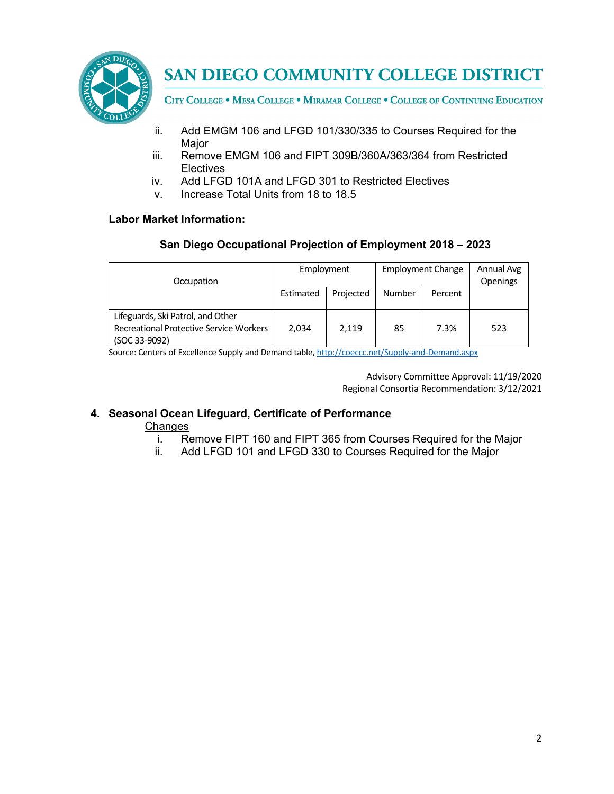

**SAN DIEGO COMMUNITY COLLEGE DISTRICT** 

CITY COLLEGE . MESA COLLEGE . MIRAMAR COLLEGE . COLLEGE OF CONTINUING EDUCATION

- ii. Add EMGM 106 and LFGD 101/330/335 to Courses Required for the Major
- iii. Remove EMGM 106 and FIPT 309B/360A/363/364 from Restricted **Electives**
- iv. Add LFGD 101A and LFGD 301 to Restricted Electives
- v. Increase Total Units from 18 to 18.5

# **Labor Market Information:**

# **San Diego Occupational Projection of Employment 2018 – 2023**

| Occupation                                     | Employment |           | <b>Employment Change</b> |         | Annual Avg<br>Openings |
|------------------------------------------------|------------|-----------|--------------------------|---------|------------------------|
|                                                | Estimated  | Projected | Number                   | Percent |                        |
| Lifeguards, Ski Patrol, and Other              |            |           |                          |         |                        |
| <b>Recreational Protective Service Workers</b> | 2,034      | 2,119     | 85                       | 7.3%    | 523                    |
| (SOC 33-9092)                                  |            |           |                          |         |                        |

Source: Centers of Excellence Supply and Demand table, http://coeccc.net/Supply-and-Demand.aspx

Advisory Committee Approval: 11/19/2020 Regional Consortia Recommendation: 3/12/2021

# **4. Seasonal Ocean Lifeguard, Certificate of Performance**

## **Changes**

- i. Remove FIPT 160 and FIPT 365 from Courses Required for the Major
- ii. Add LFGD 101 and LFGD 330 to Courses Required for the Major